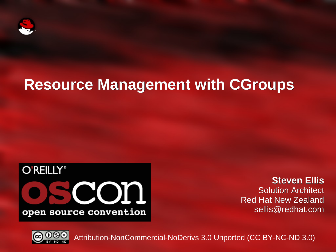

#### **Resource Management with CGroups**



**Steven Ellis** Solution Architect Red Hat New Zealand sellis@redhat.com



Attribution-NonCommercial-NoDerivs 3.0 Unported (CC BY-NC-ND 3.0)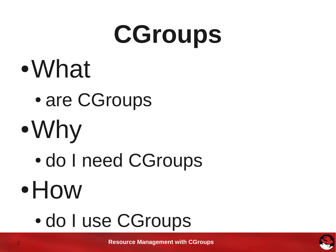# **CGroups**

- ●What
	- are CGroups
- ●Why
	- do I need CGroups
- ●How
	- do I use CGroups

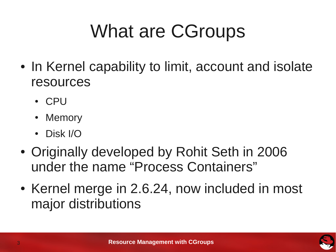### What are CGroups

- In Kernel capability to limit, account and isolate resources
	- CPU
	- **Memory**
	- Disk I/O
- Originally developed by Rohit Seth in 2006 under the name "Process Containers"
- Kernel merge in 2.6.24, now included in most major distributions

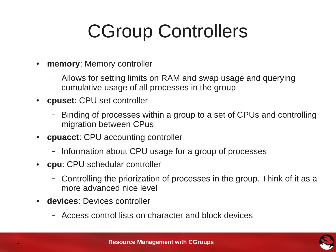### CGroup Controllers

- **memory: Memory controller** 
	- Allows for setting limits on RAM and swap usage and querying cumulative usage of all processes in the group
- **cpuset**: CPU set controller
	- Binding of processes within a group to a set of CPUs and controlling migration between CPus
- **cpuacct: CPU accounting controller** 
	- Information about CPU usage for a group of processes
- **cpu**: CPU schedular controller
	- Controlling the priorization of processes in the group. Think of it as a more advanced nice level
- **devices**: Devices controller
	- Access control lists on character and block devices

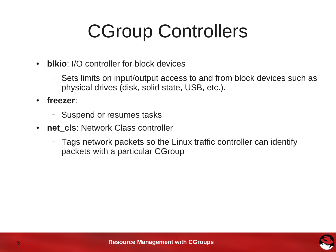### CGroup Controllers

- **blkio**: I/O controller for block devices
	- Sets limits on input/output access to and from block devices such as physical drives (disk, solid state, USB, etc.).
- **freezer**:
	- Suspend or resumes tasks
- net\_cls: Network Class controller
	- Tags network packets so the Linux traffic controller can identify packets with a particular CGroup

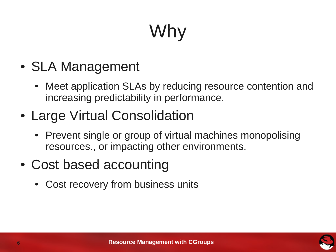## Why

- SLA Management
	- Meet application SLAs by reducing resource contention and increasing predictability in performance.
- Large Virtual Consolidation
	- Prevent single or group of virtual machines monopolising resources., or impacting other environments.
- Cost based accounting
	- Cost recovery from business units

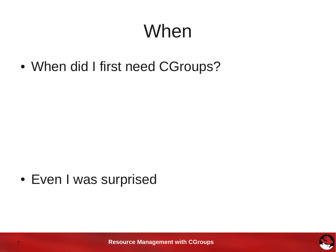### When

• When did I first need CGroups?

• Even I was surprised

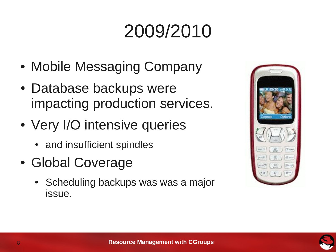### 2009/2010

- Mobile Messaging Company
- Database backups were impacting production services.
- Very I/O intensive queries
	- and insufficient spindles
- Global Coverage
	- Scheduling backups was was a major issue.



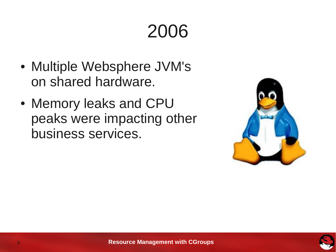### 2006

- Multiple Websphere JVM's on shared hardware.
- Memory leaks and CPU peaks were impacting other business services.



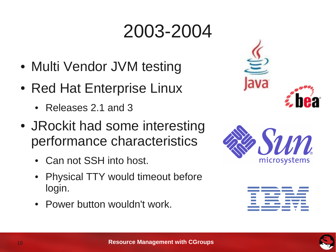### 2003-2004

- Multi Vendor JVM testing
- Red Hat Enterprise Linux
	- Releases 2.1 and 3
- JRockit had some interesting performance characteristics
	- Can not SSH into host.
	- Physical TTY would timeout before login.
	- Power button wouldn't work.







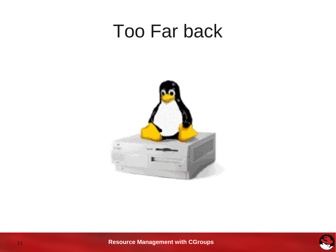#### Too Far back





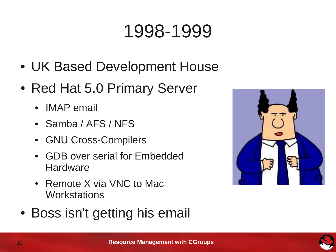### 1998-1999

- UK Based Development House
- Red Hat 5.0 Primary Server
	- IMAP email
	- Samba / AFS / NFS
	- GNU Cross-Compilers
	- GDB over serial for Embedded **Hardware**
	- Remote X via VNC to Mac **Workstations**
- Boss isn't getting his email



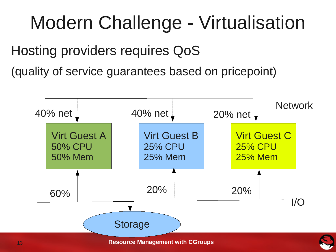### Modern Challenge - Virtualisation

Hosting providers requires QoS

(quality of service guarantees based on pricepoint)

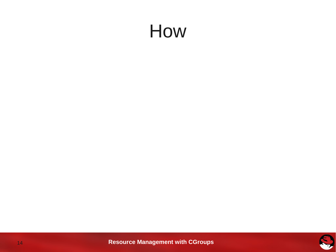#### How

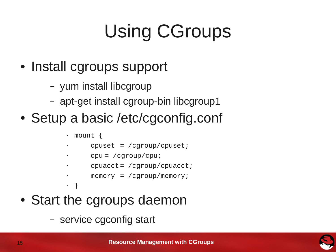### Using CGroups

- Install cgroups support
	- yum install libcgroup
	- apt-get install cgroup-bin libcgroup1
- Setup a basic /etc/cgconfig.conf

```
• mount {
```
• }

- cpuset = /cgroup/cpuset;
	- $cpu = /cqroup/cpu;$
	- cpuacct= /cgroup/cpuacct;

```
\cdot memory = /cgroup/memory;
```
- Start the cgroups daemon
	- service cgconfig start

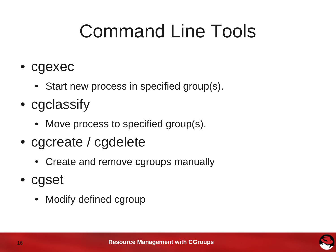### Command Line Tools

- cgexec
	- Start new process in specified group(s).
- cgclassify
	- Move process to specified group(s).
- cgcreate / cgdelete
	- Create and remove cgroups manually
- cgset
	- Modify defined cgroup

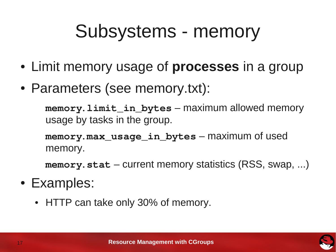### Subsystems - memory

- Limit memory usage of **processes** in a group
- Parameters (see memory.txt):

**memory.limit\_in\_bytes** – maximum allowed memory usage by tasks in the group.

**memory.max\_usage\_in\_bytes** – maximum of used memory.

**memory.stat** – current memory statistics (RSS, swap, ...)

- Examples:
	- HTTP can take only 30% of memory.

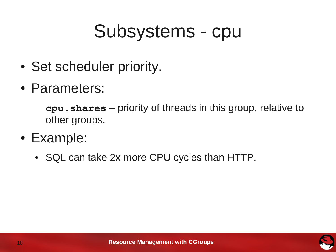### Subsystems - cpu

- Set scheduler priority.
- Parameters:

**cpu.shares** – priority of threads in this group, relative to other groups.

- Example:
	- SQL can take 2x more CPU cycles than HTTP.

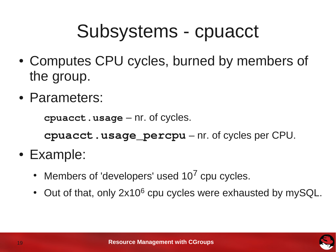### Subsystems - cpuacct

- Computes CPU cycles, burned by members of the group.
- Parameters:

**cpuacct.usage** – nr. of cycles.

**cpuacct.usage\_percpu** – nr. of cycles per CPU.

- Example:
	- Members of 'developers' used  $10^7$  cpu cycles.
	- Out of that, only 2x10<sup>6</sup> cpu cycles were exhausted by mySQL.

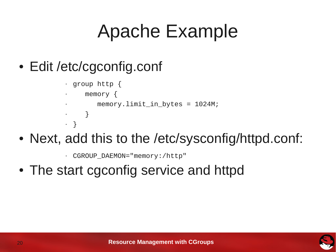### Apache Example

- Edit /etc/cgconfig.conf
	- $\cdot$  group http {
	- memory  $\{$

• }

```
memory.limit_in_bytes = 1024M;
```
- }
- Next, add this to the /etc/sysconfig/httpd.conf:
	- CGROUP\_DAEMON="memory:/http"
- The start cgconfig service and httpd

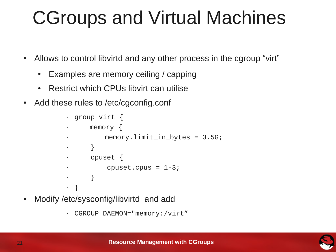### CGroups and Virtual Machines

- Allows to control libvirtd and any other process in the cgroup "virt"
	- Examples are memory ceiling / capping
	- Restrict which CPUs libvirt can utilise
- Add these rules to /etc/cgconfig.conf

```
• group virt {
      memory \{memory. limit_in_bytes = 3.5G;
       • }
• cpuset {
           cpuset.cpus = 1-3;
       \left\{ \right\}• }
```
• Modify /etc/sysconfig/libvirtd and add



<sup>•</sup> CGROUP\_DAEMON="memory:/virt"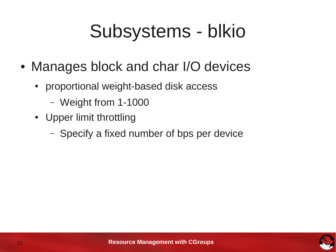### Subsystems - blkio

- Manages block and char I/O devices
	- proportional weight-based disk access
		- Weight from 1-1000
	- Upper limit throttling
		- Specify a fixed number of bps per device

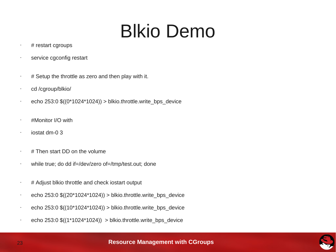### Blkio Demo

- $\cdot$  # restart cgroups
- service cgconfig restart
- $#$  Setup the throttle as zero and then play with it.
- cd /cgroup/blkio/
- echo  $253:0$  \$((0\*1024\*1024)) > blkio.throttle.write\_bps\_device
- #Monitor I/O with
- iostat dm-0 3
- # Then start DD on the volume
- while true; do dd if=/dev/zero of=/tmp/test.out; done
- # Adjust blkio throttle and check iostart output
- $\cdot$  echo 253:0 \$((20\*1024\*1024)) > blkio.throttle.write bps device
- echo 253:0 \$((10\*1024\*1024)) > blkio.throttle.write\_bps\_device
- $\cdot$  echo 253:0 \$((1\*1024\*1024)) > blkio.throttle.write bps device

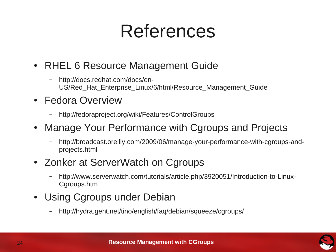### References

- RHEL 6 Resource Management Guide
	- http://docs.redhat.com/docs/en-US/Red\_Hat\_Enterprise\_Linux/6/html/Resource\_Management\_Guide
- Fedora Overview
	- http://fedoraproject.org/wiki/Features/ControlGroups
- Manage Your Performance with Cgroups and Projects
	- http://broadcast.oreilly.com/2009/06/manage-your-performance-with-cgroups-andprojects.html
- Zonker at ServerWatch on Cgroups
	- http://www.serverwatch.com/tutorials/article.php/3920051/Introduction-to-Linux-Cgroups.htm
- Using Cgroups under Debian
	- http://hydra.geht.net/tino/english/faq/debian/squeeze/cgroups/